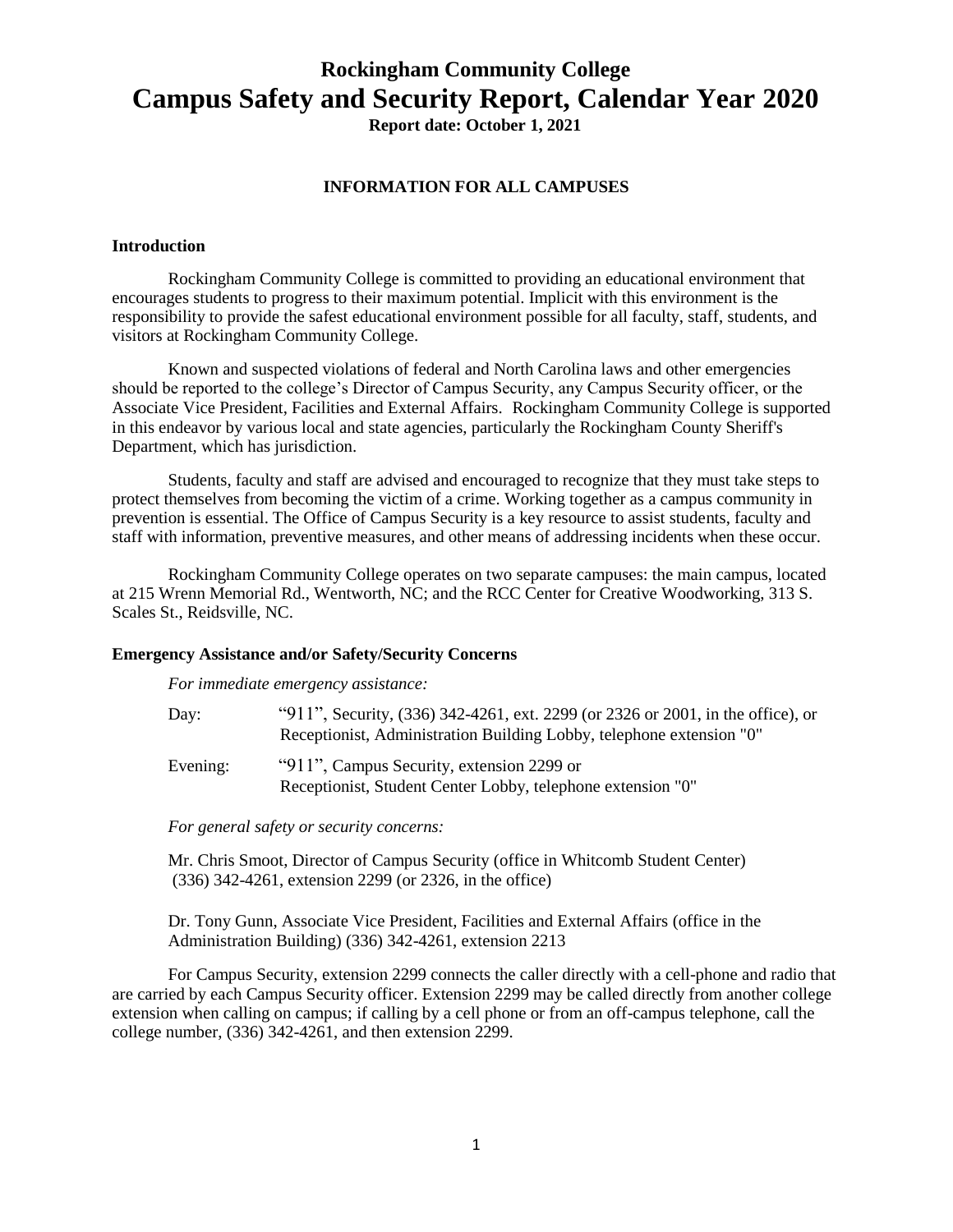# **Rockingham Community College Campus Safety and Security Report, Calendar Year 2020**

**Report date: October 1, 2021**

## **INFORMATION FOR ALL CAMPUSES**

#### **Introduction**

Rockingham Community College is committed to providing an educational environment that encourages students to progress to their maximum potential. Implicit with this environment is the responsibility to provide the safest educational environment possible for all faculty, staff, students, and visitors at Rockingham Community College.

Known and suspected violations of federal and North Carolina laws and other emergencies should be reported to the college's Director of Campus Security, any Campus Security officer, or the Associate Vice President, Facilities and External Affairs. Rockingham Community College is supported in this endeavor by various local and state agencies, particularly the Rockingham County Sheriff's Department, which has jurisdiction.

Students, faculty and staff are advised and encouraged to recognize that they must take steps to protect themselves from becoming the victim of a crime. Working together as a campus community in prevention is essential. The Office of Campus Security is a key resource to assist students, faculty and staff with information, preventive measures, and other means of addressing incidents when these occur.

Rockingham Community College operates on two separate campuses: the main campus, located at 215 Wrenn Memorial Rd., Wentworth, NC; and the RCC Center for Creative Woodworking, 313 S. Scales St., Reidsville, NC.

#### **Emergency Assistance and/or Safety/Security Concerns**

*For immediate emergency assistance:*

| Day:     | "911", Security, (336) 342-4261, ext. 2299 (or 2326 or 2001, in the office), or |
|----------|---------------------------------------------------------------------------------|
|          | Receptionist, Administration Building Lobby, telephone extension "0"            |
| Evening: | "911", Campus Security, extension 2299 or                                       |
|          | Receptionist, Student Center Lobby, telephone extension "0"                     |

*For general safety or security concerns:*

Mr. Chris Smoot, Director of Campus Security (office in Whitcomb Student Center) (336) 342-4261, extension 2299 (or 2326, in the office)

Dr. Tony Gunn, Associate Vice President, Facilities and External Affairs (office in the Administration Building) (336) 342-4261, extension 2213

For Campus Security, extension 2299 connects the caller directly with a cell-phone and radio that are carried by each Campus Security officer. Extension 2299 may be called directly from another college extension when calling on campus; if calling by a cell phone or from an off-campus telephone, call the college number, (336) 342-4261, and then extension 2299.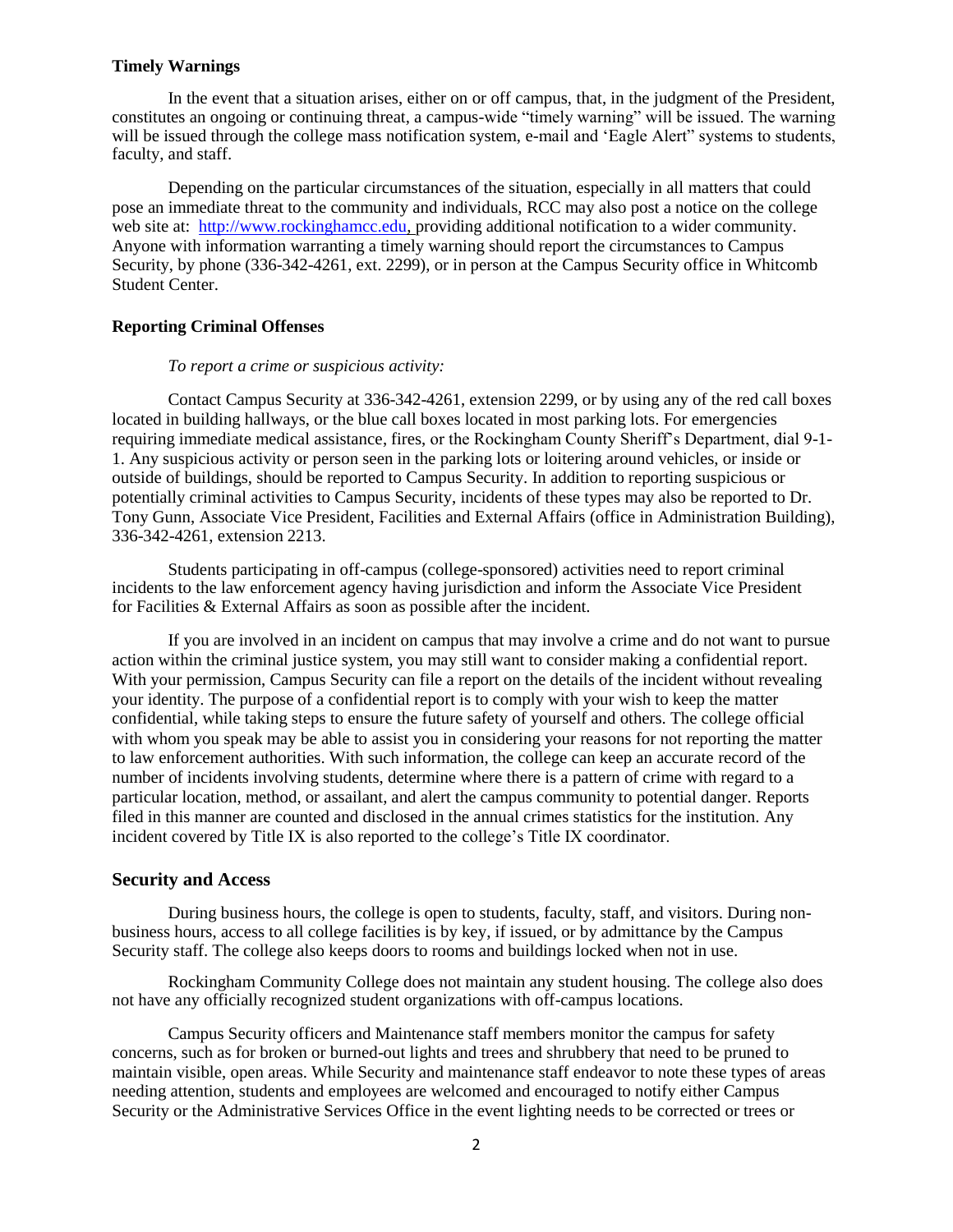#### **Timely Warnings**

In the event that a situation arises, either on or off campus, that, in the judgment of the President, constitutes an ongoing or continuing threat, a campus-wide "timely warning" will be issued. The warning will be issued through the college mass notification system, e-mail and 'Eagle Alert'' systems to students, faculty, and staff.

Depending on the particular circumstances of the situation, especially in all matters that could pose an immediate threat to the community and individuals, RCC may also post a notice on the college web site at: [http://www.rockinghamcc.edu,](http://www.rockinghamcc.edu/) providing additional notification to a wider community. Anyone with information warranting a timely warning should report the circumstances to Campus Security, by phone (336-342-4261, ext. 2299), or in person at the Campus Security office in Whitcomb Student Center.

## **Reporting Criminal Offenses**

#### *To report a crime or suspicious activity:*

Contact Campus Security at 336-342-4261, extension 2299, or by using any of the red call boxes located in building hallways, or the blue call boxes located in most parking lots. For emergencies requiring immediate medical assistance, fires, or the Rockingham County Sheriff's Department, dial 9-1- 1. Any suspicious activity or person seen in the parking lots or loitering around vehicles, or inside or outside of buildings, should be reported to Campus Security. In addition to reporting suspicious or potentially criminal activities to Campus Security, incidents of these types may also be reported to Dr. Tony Gunn, Associate Vice President, Facilities and External Affairs (office in Administration Building), 336-342-4261, extension 2213.

Students participating in off-campus (college-sponsored) activities need to report criminal incidents to the law enforcement agency having jurisdiction and inform the Associate Vice President for Facilities & External Affairs as soon as possible after the incident.

If you are involved in an incident on campus that may involve a crime and do not want to pursue action within the criminal justice system, you may still want to consider making a confidential report. With your permission, Campus Security can file a report on the details of the incident without revealing your identity. The purpose of a confidential report is to comply with your wish to keep the matter confidential, while taking steps to ensure the future safety of yourself and others. The college official with whom you speak may be able to assist you in considering your reasons for not reporting the matter to law enforcement authorities. With such information, the college can keep an accurate record of the number of incidents involving students, determine where there is a pattern of crime with regard to a particular location, method, or assailant, and alert the campus community to potential danger. Reports filed in this manner are counted and disclosed in the annual crimes statistics for the institution. Any incident covered by Title IX is also reported to the college's Title IX coordinator.

## **Security and Access**

During business hours, the college is open to students, faculty, staff, and visitors. During nonbusiness hours, access to all college facilities is by key, if issued, or by admittance by the Campus Security staff. The college also keeps doors to rooms and buildings locked when not in use.

Rockingham Community College does not maintain any student housing. The college also does not have any officially recognized student organizations with off-campus locations.

Campus Security officers and Maintenance staff members monitor the campus for safety concerns, such as for broken or burned-out lights and trees and shrubbery that need to be pruned to maintain visible, open areas. While Security and maintenance staff endeavor to note these types of areas needing attention, students and employees are welcomed and encouraged to notify either Campus Security or the Administrative Services Office in the event lighting needs to be corrected or trees or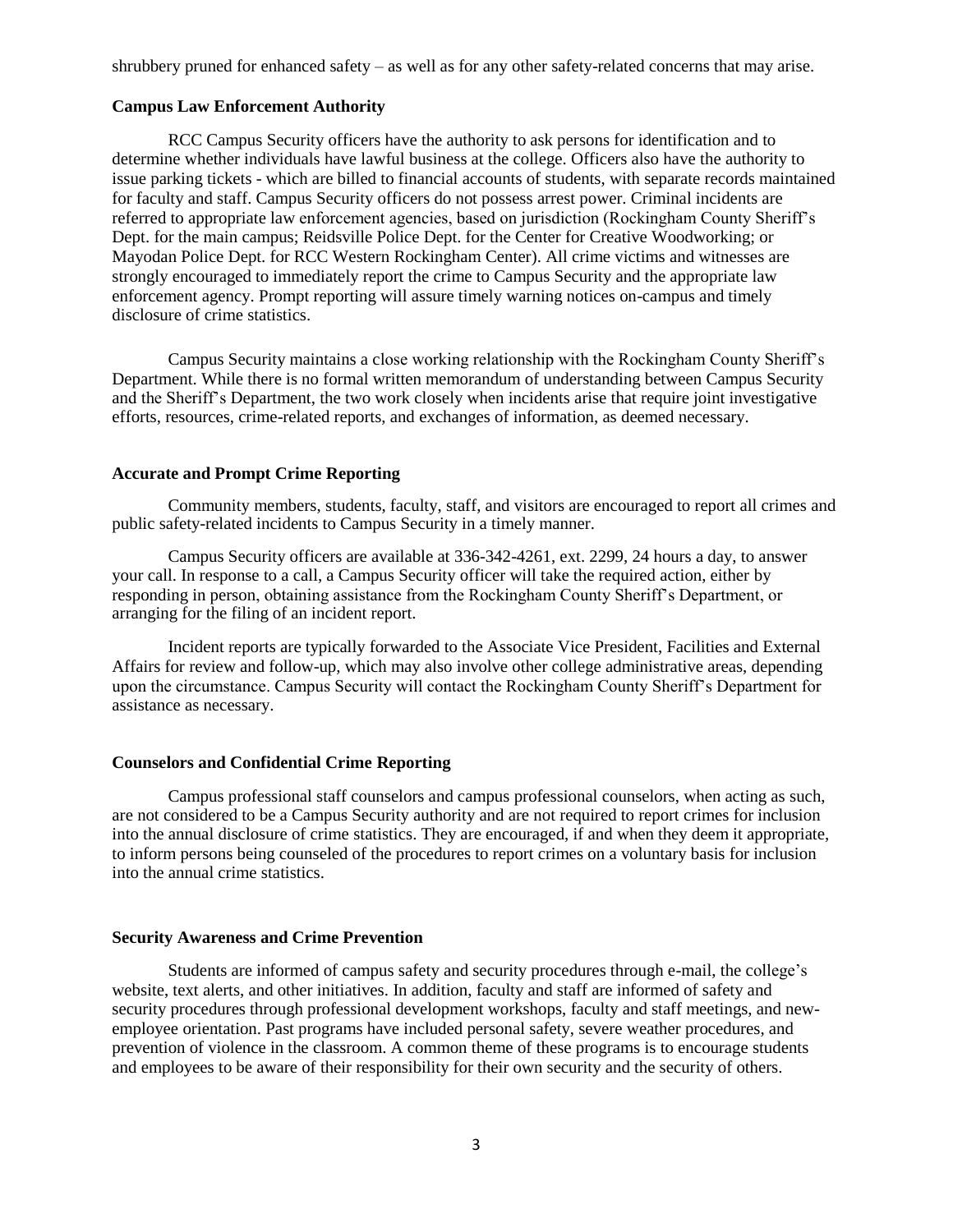shrubbery pruned for enhanced safety – as well as for any other safety-related concerns that may arise.

#### **Campus Law Enforcement Authority**

RCC Campus Security officers have the authority to ask persons for identification and to determine whether individuals have lawful business at the college. Officers also have the authority to issue parking tickets - which are billed to financial accounts of students, with separate records maintained for faculty and staff. Campus Security officers do not possess arrest power. Criminal incidents are referred to appropriate law enforcement agencies, based on jurisdiction (Rockingham County Sheriff's Dept. for the main campus; Reidsville Police Dept. for the Center for Creative Woodworking; or Mayodan Police Dept. for RCC Western Rockingham Center). All crime victims and witnesses are strongly encouraged to immediately report the crime to Campus Security and the appropriate law enforcement agency. Prompt reporting will assure timely warning notices on-campus and timely disclosure of crime statistics.

Campus Security maintains a close working relationship with the Rockingham County Sheriff's Department. While there is no formal written memorandum of understanding between Campus Security and the Sheriff's Department, the two work closely when incidents arise that require joint investigative efforts, resources, crime-related reports, and exchanges of information, as deemed necessary.

## **Accurate and Prompt Crime Reporting**

Community members, students, faculty, staff, and visitors are encouraged to report all crimes and public safety-related incidents to Campus Security in a timely manner.

Campus Security officers are available at 336-342-4261, ext. 2299, 24 hours a day, to answer your call. In response to a call, a Campus Security officer will take the required action, either by responding in person, obtaining assistance from the Rockingham County Sheriff's Department, or arranging for the filing of an incident report.

Incident reports are typically forwarded to the Associate Vice President, Facilities and External Affairs for review and follow-up, which may also involve other college administrative areas, depending upon the circumstance. Campus Security will contact the Rockingham County Sheriff's Department for assistance as necessary.

## **Counselors and Confidential Crime Reporting**

Campus professional staff counselors and campus professional counselors, when acting as such, are not considered to be a Campus Security authority and are not required to report crimes for inclusion into the annual disclosure of crime statistics. They are encouraged, if and when they deem it appropriate, to inform persons being counseled of the procedures to report crimes on a voluntary basis for inclusion into the annual crime statistics.

#### **Security Awareness and Crime Prevention**

Students are informed of campus safety and security procedures through e-mail, the college's website, text alerts, and other initiatives. In addition, faculty and staff are informed of safety and security procedures through professional development workshops, faculty and staff meetings, and newemployee orientation. Past programs have included personal safety, severe weather procedures, and prevention of violence in the classroom. A common theme of these programs is to encourage students and employees to be aware of their responsibility for their own security and the security of others.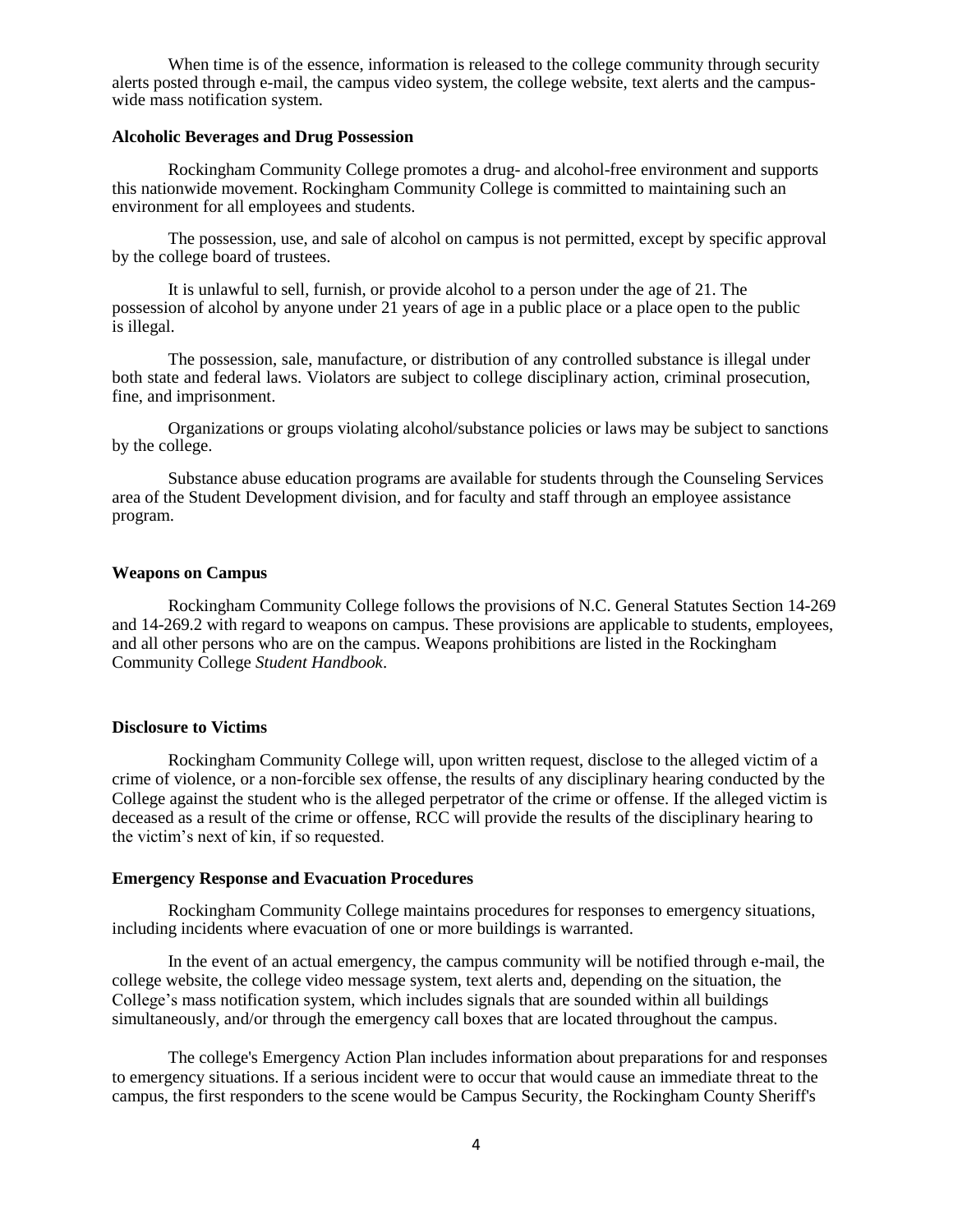When time is of the essence, information is released to the college community through security alerts posted through e-mail, the campus video system, the college website, text alerts and the campuswide mass notification system.

## **Alcoholic Beverages and Drug Possession**

Rockingham Community College promotes a drug- and alcohol-free environment and supports this nationwide movement. Rockingham Community College is committed to maintaining such an environment for all employees and students.

The possession, use, and sale of alcohol on campus is not permitted, except by specific approval by the college board of trustees.

It is unlawful to sell, furnish, or provide alcohol to a person under the age of 21. The possession of alcohol by anyone under 21 years of age in a public place or a place open to the public is illegal.

The possession, sale, manufacture, or distribution of any controlled substance is illegal under both state and federal laws. Violators are subject to college disciplinary action, criminal prosecution, fine, and imprisonment.

Organizations or groups violating alcohol/substance policies or laws may be subject to sanctions by the college.

Substance abuse education programs are available for students through the Counseling Services area of the Student Development division, and for faculty and staff through an employee assistance program.

## **Weapons on Campus**

Rockingham Community College follows the provisions of N.C. General Statutes Section 14-269 and 14-269.2 with regard to weapons on campus. These provisions are applicable to students, employees, and all other persons who are on the campus. Weapons prohibitions are listed in the Rockingham Community College *Student Handbook*.

## **Disclosure to Victims**

Rockingham Community College will, upon written request, disclose to the alleged victim of a crime of violence, or a non-forcible sex offense, the results of any disciplinary hearing conducted by the College against the student who is the alleged perpetrator of the crime or offense. If the alleged victim is deceased as a result of the crime or offense, RCC will provide the results of the disciplinary hearing to the victim's next of kin, if so requested.

#### **Emergency Response and Evacuation Procedures**

Rockingham Community College maintains procedures for responses to emergency situations, including incidents where evacuation of one or more buildings is warranted.

In the event of an actual emergency, the campus community will be notified through e-mail, the college website, the college video message system, text alerts and, depending on the situation, the College's mass notification system, which includes signals that are sounded within all buildings simultaneously, and/or through the emergency call boxes that are located throughout the campus.

The college's Emergency Action Plan includes information about preparations for and responses to emergency situations. If a serious incident were to occur that would cause an immediate threat to the campus, the first responders to the scene would be Campus Security, the Rockingham County Sheriff's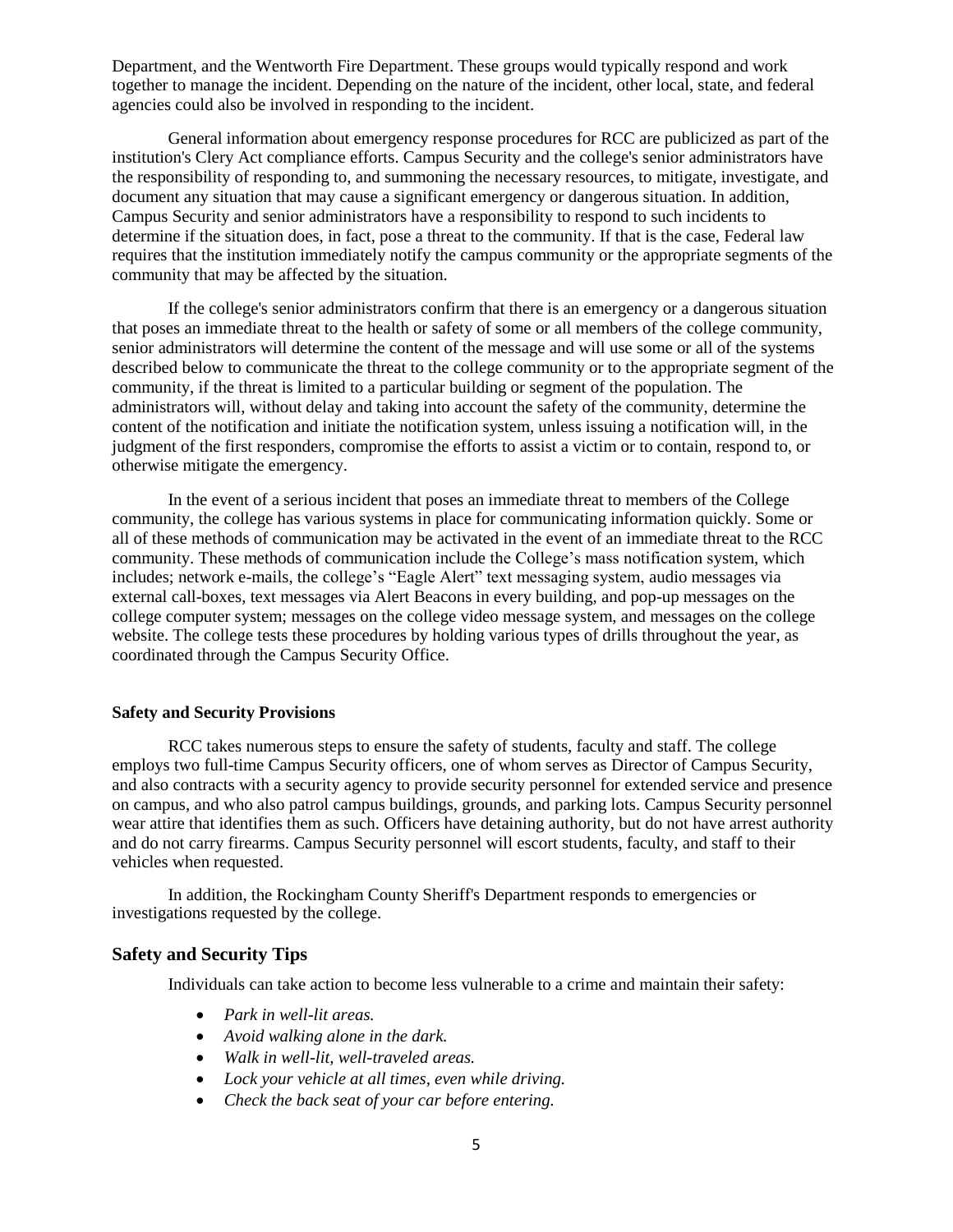Department, and the Wentworth Fire Department. These groups would typically respond and work together to manage the incident. Depending on the nature of the incident, other local, state, and federal agencies could also be involved in responding to the incident.

General information about emergency response procedures for RCC are publicized as part of the institution's Clery Act compliance efforts. Campus Security and the college's senior administrators have the responsibility of responding to, and summoning the necessary resources, to mitigate, investigate, and document any situation that may cause a significant emergency or dangerous situation. In addition, Campus Security and senior administrators have a responsibility to respond to such incidents to determine if the situation does, in fact, pose a threat to the community. If that is the case, Federal law requires that the institution immediately notify the campus community or the appropriate segments of the community that may be affected by the situation.

If the college's senior administrators confirm that there is an emergency or a dangerous situation that poses an immediate threat to the health or safety of some or all members of the college community, senior administrators will determine the content of the message and will use some or all of the systems described below to communicate the threat to the college community or to the appropriate segment of the community, if the threat is limited to a particular building or segment of the population. The administrators will, without delay and taking into account the safety of the community, determine the content of the notification and initiate the notification system, unless issuing a notification will, in the judgment of the first responders, compromise the efforts to assist a victim or to contain, respond to, or otherwise mitigate the emergency.

In the event of a serious incident that poses an immediate threat to members of the College community, the college has various systems in place for communicating information quickly. Some or all of these methods of communication may be activated in the event of an immediate threat to the RCC community. These methods of communication include the College's mass notification system, which includes; network e-mails, the college's "Eagle Alert" text messaging system, audio messages via external call-boxes, text messages via Alert Beacons in every building, and pop-up messages on the college computer system; messages on the college video message system, and messages on the college website. The college tests these procedures by holding various types of drills throughout the year, as coordinated through the Campus Security Office.

## **Safety and Security Provisions**

RCC takes numerous steps to ensure the safety of students, faculty and staff. The college employs two full-time Campus Security officers, one of whom serves as Director of Campus Security, and also contracts with a security agency to provide security personnel for extended service and presence on campus, and who also patrol campus buildings, grounds, and parking lots. Campus Security personnel wear attire that identifies them as such. Officers have detaining authority, but do not have arrest authority and do not carry firearms. Campus Security personnel will escort students, faculty, and staff to their vehicles when requested.

In addition, the Rockingham County Sheriff's Department responds to emergencies or investigations requested by the college.

## **Safety and Security Tips**

Individuals can take action to become less vulnerable to a crime and maintain their safety:

- *Park in well-lit areas.*
- *Avoid walking alone in the dark.*
- *Walk in well-lit, well-traveled areas.*
- *Lock your vehicle at all times, even while driving.*
- *Check the back seat of your car before entering.*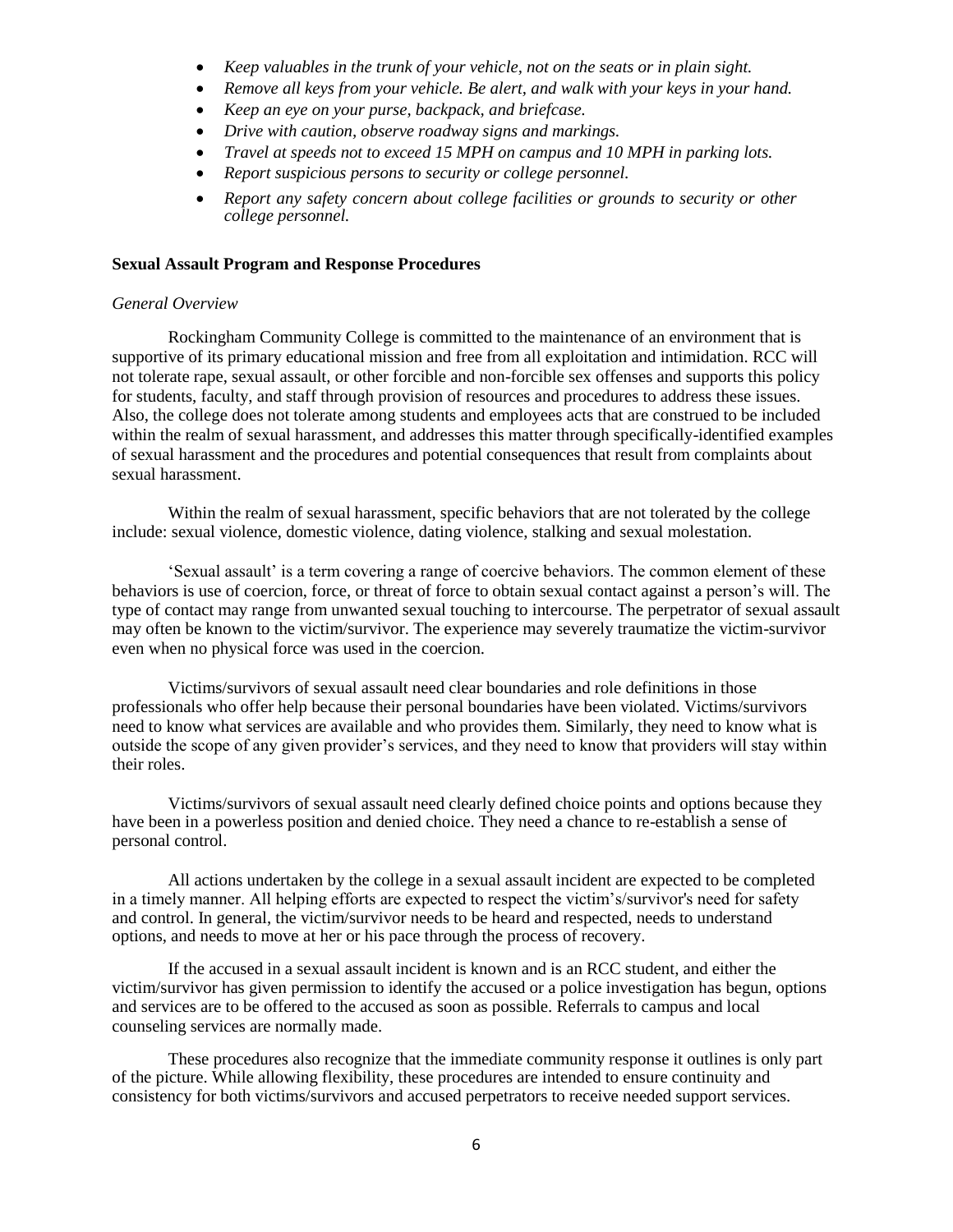- *Keep valuables in the trunk of your vehicle, not on the seats or in plain sight.*
- *Remove all keys from your vehicle. Be alert, and walk with your keys in your hand.*
- *Keep an eye on your purse, backpack, and briefcase.*
- *Drive with caution, observe roadway signs and markings.*
- *Travel at speeds not to exceed 15 MPH on campus and 10 MPH in parking lots.*
- *Report suspicious persons to security or college personnel.*
- *Report any safety concern about college facilities or grounds to security or other college personnel.*

#### **Sexual Assault Program and Response Procedures**

#### *General Overview*

Rockingham Community College is committed to the maintenance of an environment that is supportive of its primary educational mission and free from all exploitation and intimidation. RCC will not tolerate rape, sexual assault, or other forcible and non-forcible sex offenses and supports this policy for students, faculty, and staff through provision of resources and procedures to address these issues. Also, the college does not tolerate among students and employees acts that are construed to be included within the realm of sexual harassment, and addresses this matter through specifically-identified examples of sexual harassment and the procedures and potential consequences that result from complaints about sexual harassment.

Within the realm of sexual harassment, specific behaviors that are not tolerated by the college include: sexual violence, domestic violence, dating violence, stalking and sexual molestation.

'Sexual assault' is a term covering a range of coercive behaviors. The common element of these behaviors is use of coercion, force, or threat of force to obtain sexual contact against a person's will. The type of contact may range from unwanted sexual touching to intercourse. The perpetrator of sexual assault may often be known to the victim/survivor. The experience may severely traumatize the victim-survivor even when no physical force was used in the coercion.

Victims/survivors of sexual assault need clear boundaries and role definitions in those professionals who offer help because their personal boundaries have been violated. Victims/survivors need to know what services are available and who provides them. Similarly, they need to know what is outside the scope of any given provider's services, and they need to know that providers will stay within their roles.

Victims/survivors of sexual assault need clearly defined choice points and options because they have been in a powerless position and denied choice. They need a chance to re-establish a sense of personal control.

All actions undertaken by the college in a sexual assault incident are expected to be completed in a timely manner. All helping efforts are expected to respect the victim's/survivor's need for safety and control. In general, the victim/survivor needs to be heard and respected, needs to understand options, and needs to move at her or his pace through the process of recovery.

If the accused in a sexual assault incident is known and is an RCC student, and either the victim/survivor has given permission to identify the accused or a police investigation has begun, options and services are to be offered to the accused as soon as possible. Referrals to campus and local counseling services are normally made.

These procedures also recognize that the immediate community response it outlines is only part of the picture. While allowing flexibility, these procedures are intended to ensure continuity and consistency for both victims/survivors and accused perpetrators to receive needed support services.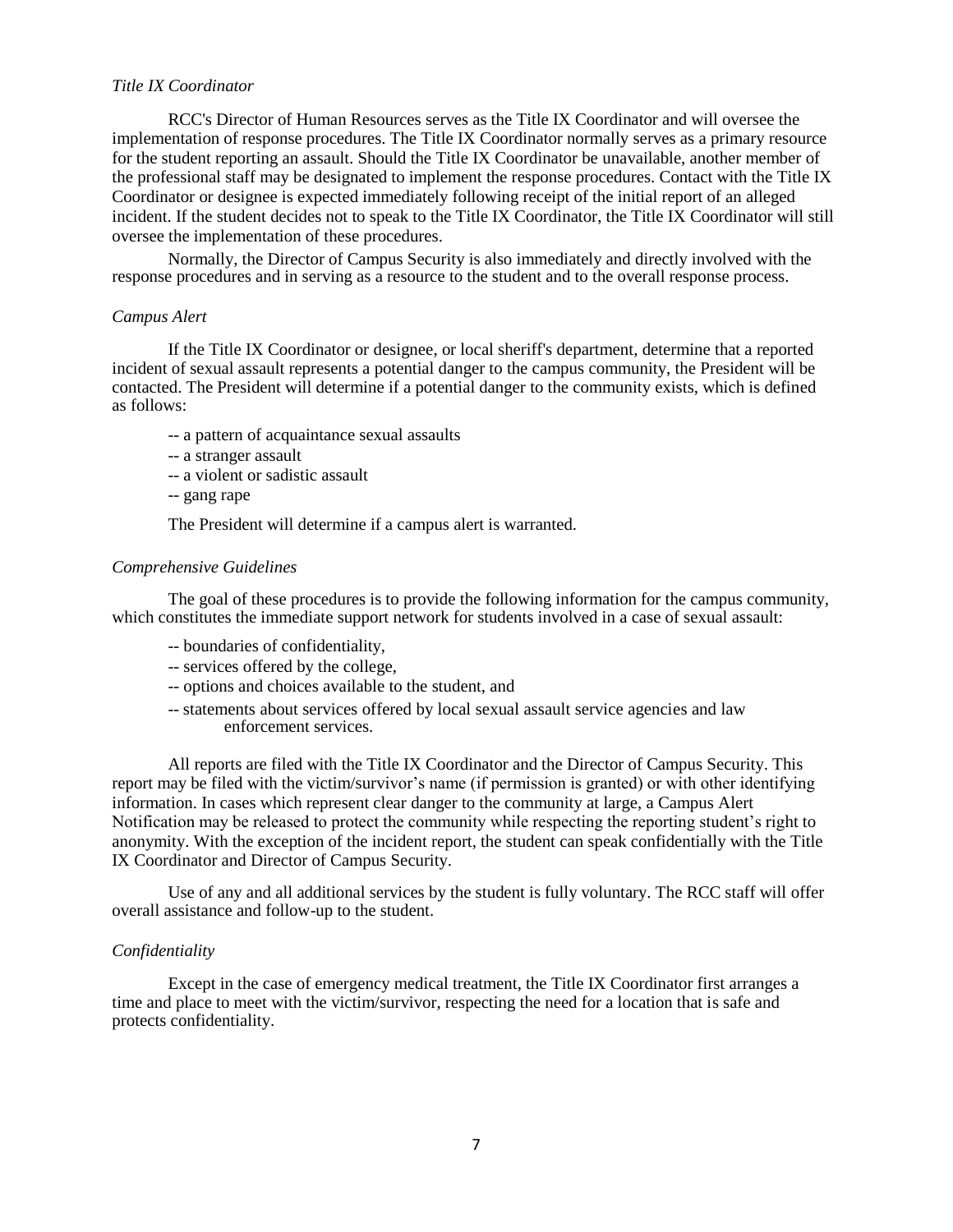#### *Title IX Coordinator*

RCC's Director of Human Resources serves as the Title IX Coordinator and will oversee the implementation of response procedures. The Title IX Coordinator normally serves as a primary resource for the student reporting an assault. Should the Title IX Coordinator be unavailable, another member of the professional staff may be designated to implement the response procedures. Contact with the Title IX Coordinator or designee is expected immediately following receipt of the initial report of an alleged incident. If the student decides not to speak to the Title IX Coordinator, the Title IX Coordinator will still oversee the implementation of these procedures.

Normally, the Director of Campus Security is also immediately and directly involved with the response procedures and in serving as a resource to the student and to the overall response process.

## *Campus Alert*

If the Title IX Coordinator or designee, or local sheriff's department, determine that a reported incident of sexual assault represents a potential danger to the campus community, the President will be contacted. The President will determine if a potential danger to the community exists, which is defined as follows:

- -- a pattern of acquaintance sexual assaults
- -- a stranger assault
- -- a violent or sadistic assault
- -- gang rape

The President will determine if a campus alert is warranted.

#### *Comprehensive Guidelines*

The goal of these procedures is to provide the following information for the campus community, which constitutes the immediate support network for students involved in a case of sexual assault:

- -- boundaries of confidentiality,
- -- services offered by the college,
- -- options and choices available to the student, and
- -- statements about services offered by local sexual assault service agencies and law enforcement services.

All reports are filed with the Title IX Coordinator and the Director of Campus Security. This report may be filed with the victim/survivor's name (if permission is granted) or with other identifying information. In cases which represent clear danger to the community at large, a Campus Alert Notification may be released to protect the community while respecting the reporting student's right to anonymity. With the exception of the incident report, the student can speak confidentially with the Title IX Coordinator and Director of Campus Security.

Use of any and all additional services by the student is fully voluntary. The RCC staff will offer overall assistance and follow-up to the student.

#### *Confidentiality*

Except in the case of emergency medical treatment, the Title IX Coordinator first arranges a time and place to meet with the victim/survivor, respecting the need for a location that is safe and protects confidentiality.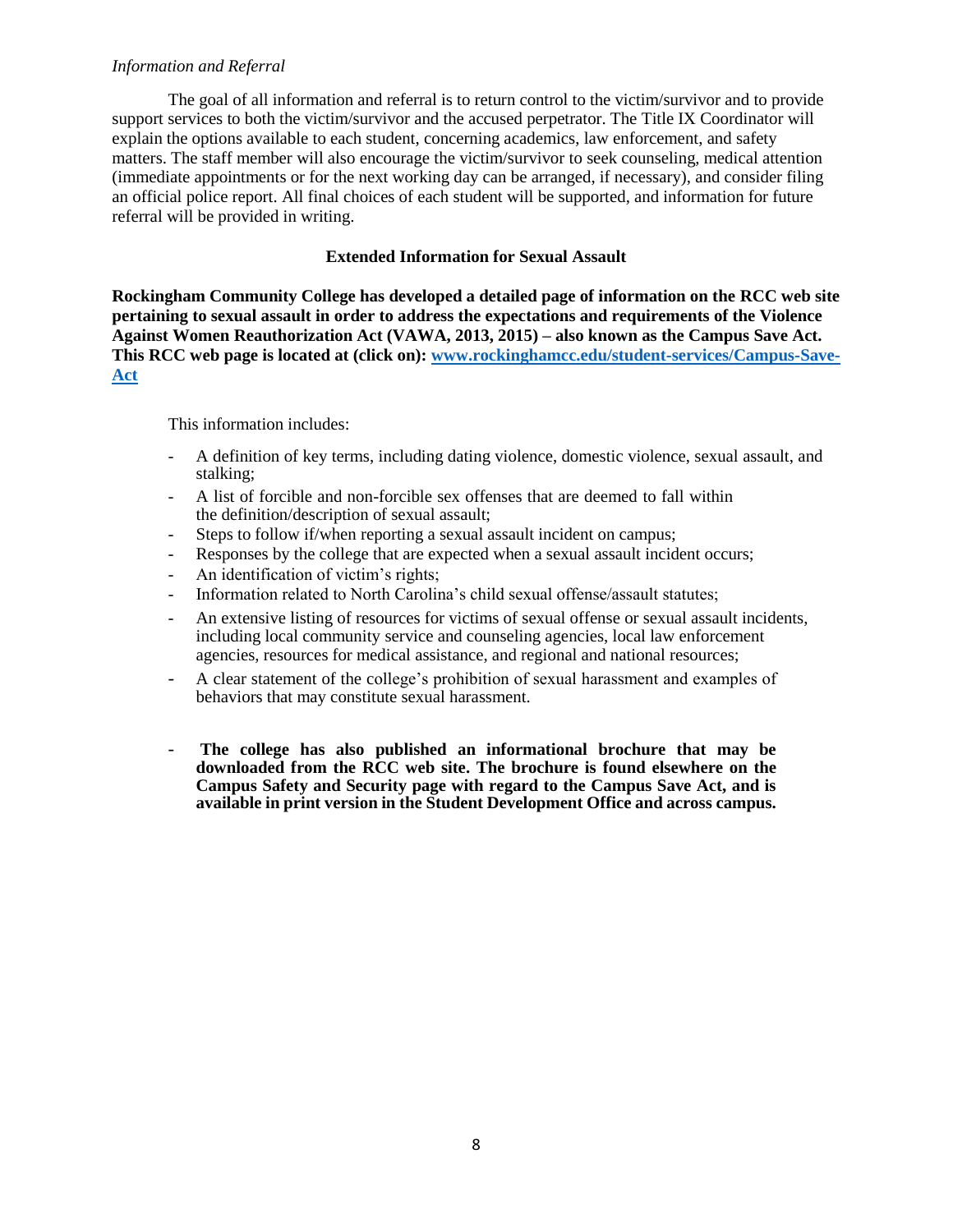## *Information and Referral*

The goal of all information and referral is to return control to the victim/survivor and to provide support services to both the victim/survivor and the accused perpetrator. The Title IX Coordinator will explain the options available to each student, concerning academics, law enforcement, and safety matters. The staff member will also encourage the victim/survivor to seek counseling, medical attention (immediate appointments or for the next working day can be arranged, if necessary), and consider filing an official police report. All final choices of each student will be supported, and information for future referral will be provided in writing.

## **Extended Information for Sexual Assault**

**Rockingham Community College has developed a detailed page of information on the RCC web site pertaining to sexual assault in order to address the expectations and requirements of the Violence Against Women Reauthorization Act (VAWA, 2013, 2015) – also known as the Campus Save Act. This RCC web page is located at (click on): [www.rockinghamcc.edu/student-services/Campus-Save-](http://www.rockinghamcc.edu/student-services/Campus-Save-Act)[Act](http://www.rockinghamcc.edu/student-services/Campus-Save-Act)**

This information includes:

- A definition of key terms, including dating violence, domestic violence, sexual assault, and stalking;
- A list of forcible and non-forcible sex offenses that are deemed to fall within the definition/description of sexual assault;
- Steps to follow if/when reporting a sexual assault incident on campus;
- Responses by the college that are expected when a sexual assault incident occurs;
- An identification of victim's rights;
- Information related to North Carolina's child sexual offense/assault statutes;
- An extensive listing of resources for victims of sexual offense or sexual assault incidents, including local community service and counseling agencies, local law enforcement agencies, resources for medical assistance, and regional and national resources;
- A clear statement of the college's prohibition of sexual harassment and examples of behaviors that may constitute sexual harassment.
- **The college has also published an informational brochure that may be downloaded from the RCC web site. The brochure is found elsewhere on the Campus Safety and Security page with regard to the Campus Save Act, and is available in print version in the Student Development Office and across campus.**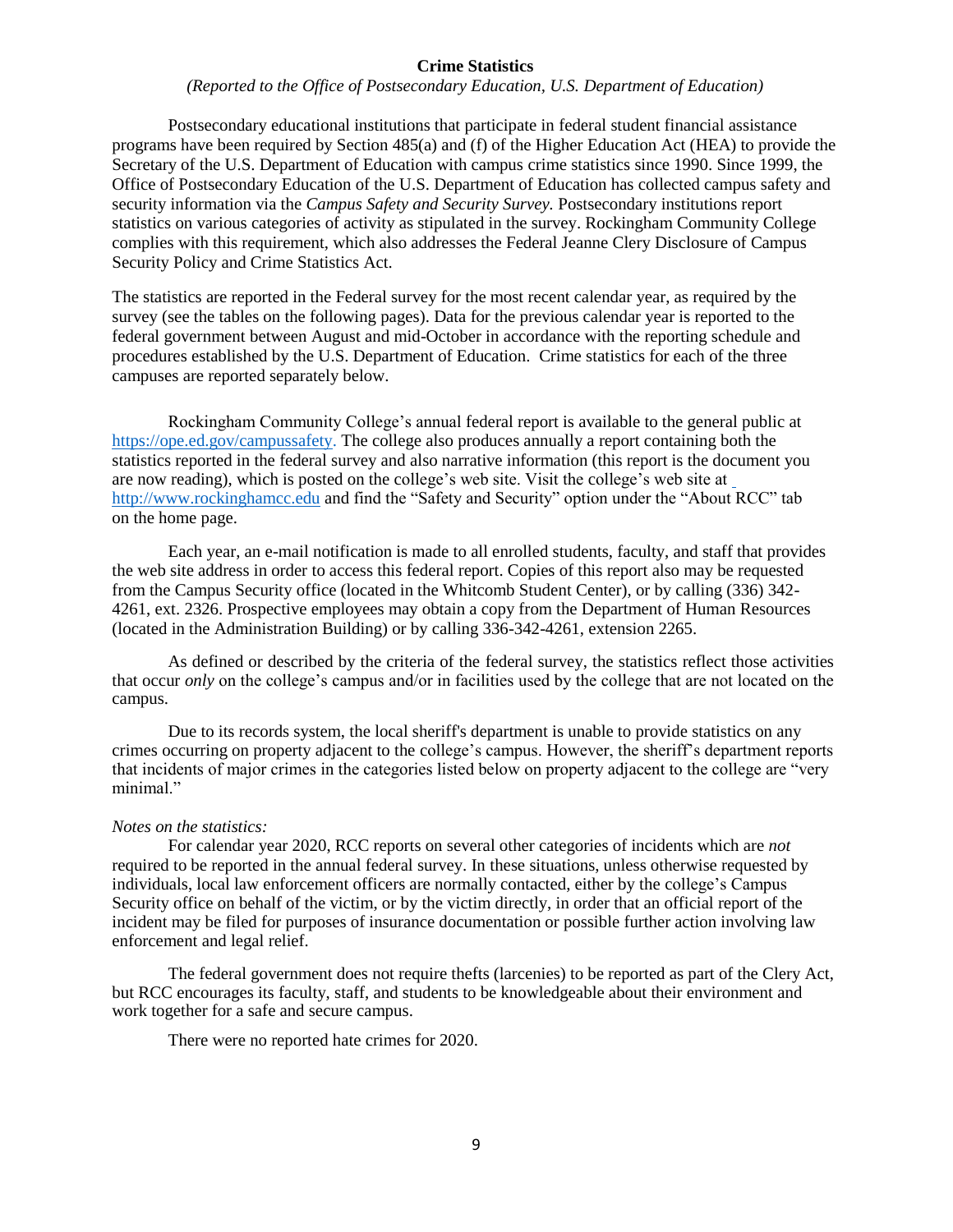#### **Crime Statistics**

*(Reported to the Office of Postsecondary Education, U.S. Department of Education)*

Postsecondary educational institutions that participate in federal student financial assistance programs have been required by Section 485(a) and (f) of the Higher Education Act (HEA) to provide the Secretary of the U.S. Department of Education with campus crime statistics since 1990. Since 1999, the Office of Postsecondary Education of the U.S. Department of Education has collected campus safety and security information via the *Campus Safety and Security Survey.* Postsecondary institutions report statistics on various categories of activity as stipulated in the survey. Rockingham Community College complies with this requirement, which also addresses the Federal Jeanne Clery Disclosure of Campus Security Policy and Crime Statistics Act.

The statistics are reported in the Federal survey for the most recent calendar year, as required by the survey (see the tables on the following pages). Data for the previous calendar year is reported to the federal government between August and mid-October in accordance with the reporting schedule and procedures established by the U.S. Department of Education. Crime statistics for each of the three campuses are reported separately below.

Rockingham Community College's annual federal report is available to the general public a[t](https://ope.ed.gov/campussafety) [https://ope.ed.gov/campussafety.](https://ope.ed.gov/campussafety) The college also produces annually a report containing both the statistics reported in the federal survey and also narrative information (this report is the document you are now reading), which is posted on the college's web site. Visit the college's web site at [http://www.rockinghamcc.edu](http://www.rockinghamcc.edu/) and find the "Safety and Security" option under the "About RCC" tab on the home page.

Each year, an e-mail notification is made to all enrolled students, faculty, and staff that provides the web site address in order to access this federal report. Copies of this report also may be requested from the Campus Security office (located in the Whitcomb Student Center), or by calling (336) 342- 4261, ext. 2326. Prospective employees may obtain a copy from the Department of Human Resources (located in the Administration Building) or by calling 336-342-4261, extension 2265.

As defined or described by the criteria of the federal survey, the statistics reflect those activities that occur *only* on the college's campus and/or in facilities used by the college that are not located on the campus.

Due to its records system, the local sheriff's department is unable to provide statistics on any crimes occurring on property adjacent to the college's campus. However, the sheriff's department reports that incidents of major crimes in the categories listed below on property adjacent to the college are "very minimal."

#### *Notes on the statistics:*

For calendar year 2020, RCC reports on several other categories of incidents which are *not* required to be reported in the annual federal survey. In these situations, unless otherwise requested by individuals, local law enforcement officers are normally contacted, either by the college's Campus Security office on behalf of the victim, or by the victim directly, in order that an official report of the incident may be filed for purposes of insurance documentation or possible further action involving law enforcement and legal relief.

The federal government does not require thefts (larcenies) to be reported as part of the Clery Act, but RCC encourages its faculty, staff, and students to be knowledgeable about their environment and work together for a safe and secure campus.

There were no reported hate crimes for 2020.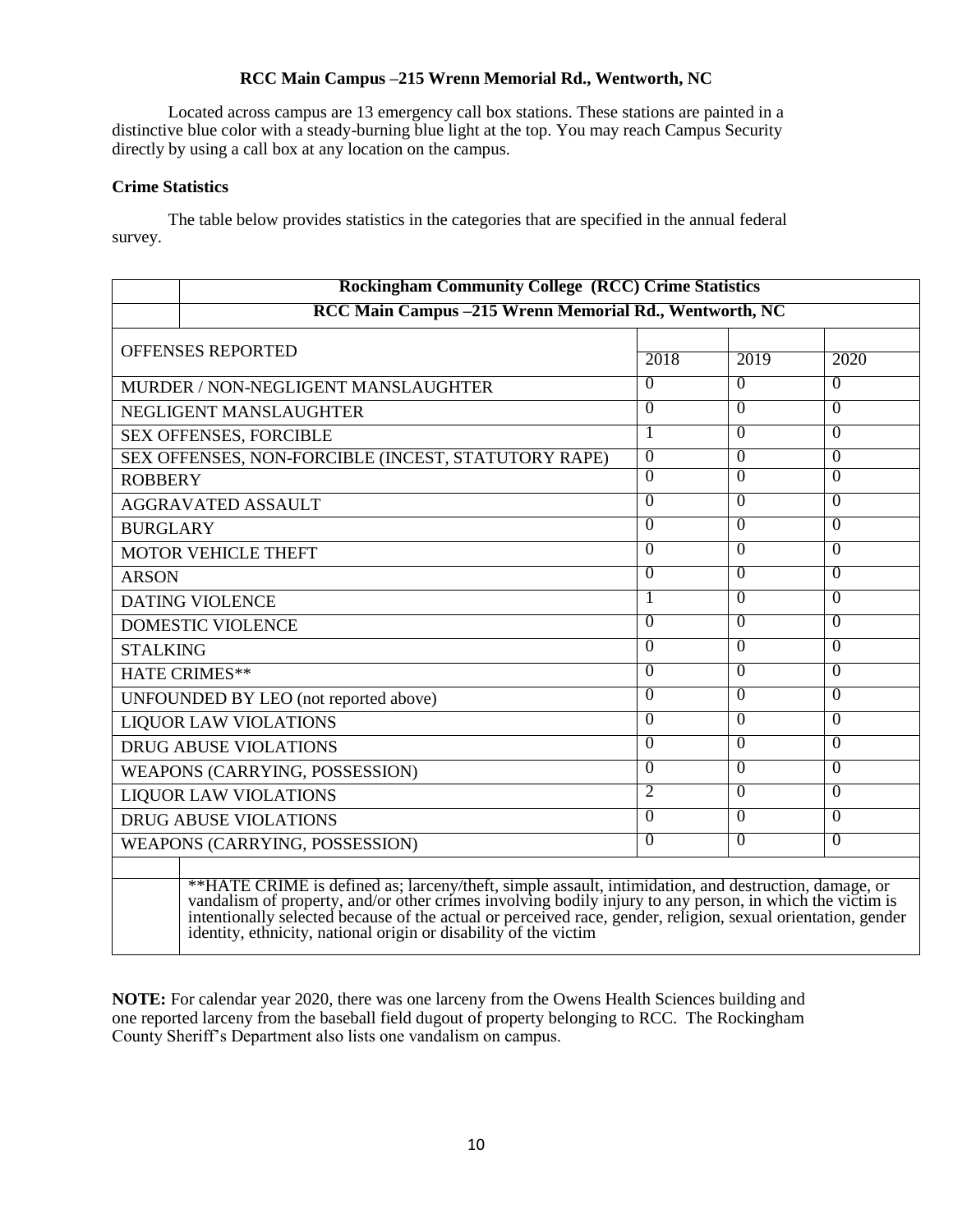## **RCC Main Campus –215 Wrenn Memorial Rd., Wentworth, NC**

Located across campus are 13 emergency call box stations. These stations are painted in a distinctive blue color with a steady-burning blue light at the top. You may reach Campus Security directly by using a call box at any location on the campus.

## **Crime Statistics**

The table below provides statistics in the categories that are specified in the annual federal survey.

| <b>Rockingham Community College (RCC) Crime Statistics</b> |                                                                                                                                                                                                                                |                |                |                |  |  |  |
|------------------------------------------------------------|--------------------------------------------------------------------------------------------------------------------------------------------------------------------------------------------------------------------------------|----------------|----------------|----------------|--|--|--|
|                                                            | RCC Main Campus -215 Wrenn Memorial Rd., Wentworth, NC                                                                                                                                                                         |                |                |                |  |  |  |
| <b>OFFENSES REPORTED</b>                                   |                                                                                                                                                                                                                                | 2018           | 2019           | 2020           |  |  |  |
| MURDER / NON-NEGLIGENT MANSLAUGHTER                        |                                                                                                                                                                                                                                | $\overline{0}$ | $\overline{0}$ | $\overline{0}$ |  |  |  |
| NEGLIGENT MANSLAUGHTER                                     |                                                                                                                                                                                                                                | $\overline{0}$ | $\overline{0}$ | $\overline{0}$ |  |  |  |
| SEX OFFENSES, FORCIBLE                                     |                                                                                                                                                                                                                                | 1              | $\Omega$       | $\Omega$       |  |  |  |
| SEX OFFENSES, NON-FORCIBLE (INCEST, STATUTORY RAPE)        |                                                                                                                                                                                                                                | $\overline{0}$ | $\overline{0}$ | $\overline{0}$ |  |  |  |
| <b>ROBBERY</b>                                             |                                                                                                                                                                                                                                | $\overline{0}$ | $\overline{0}$ | $\overline{0}$ |  |  |  |
| <b>AGGRAVATED ASSAULT</b>                                  |                                                                                                                                                                                                                                | $\overline{0}$ | $\Omega$       | $\Omega$       |  |  |  |
| <b>BURGLARY</b>                                            |                                                                                                                                                                                                                                | $\overline{0}$ | $\overline{0}$ | $\overline{0}$ |  |  |  |
| <b>MOTOR VEHICLE THEFT</b>                                 |                                                                                                                                                                                                                                | $\Omega$       | $\Omega$       | $\theta$       |  |  |  |
| <b>ARSON</b>                                               |                                                                                                                                                                                                                                | $\overline{0}$ | $\overline{0}$ | $\overline{0}$ |  |  |  |
| <b>DATING VIOLENCE</b>                                     |                                                                                                                                                                                                                                |                | $\overline{0}$ | $\overline{0}$ |  |  |  |
| <b>DOMESTIC VIOLENCE</b>                                   |                                                                                                                                                                                                                                | $\theta$       | $\theta$       | $\overline{0}$ |  |  |  |
| <b>STALKING</b>                                            |                                                                                                                                                                                                                                | $\overline{0}$ | $\overline{0}$ | $\overline{0}$ |  |  |  |
| <b>HATE CRIMES**</b>                                       |                                                                                                                                                                                                                                | $\overline{0}$ | $\overline{0}$ | $\overline{0}$ |  |  |  |
| UNFOUNDED BY LEO (not reported above)                      |                                                                                                                                                                                                                                | $\Omega$       | $\Omega$       | $\Omega$       |  |  |  |
| <b>LIQUOR LAW VIOLATIONS</b>                               |                                                                                                                                                                                                                                | $\overline{0}$ | $\overline{0}$ | $\overline{0}$ |  |  |  |
| <b>DRUG ABUSE VIOLATIONS</b>                               |                                                                                                                                                                                                                                | $\Omega$       | $\Omega$       | $\Omega$       |  |  |  |
| WEAPONS (CARRYING, POSSESSION)                             |                                                                                                                                                                                                                                | $\Omega$       | $\overline{0}$ | $\overline{0}$ |  |  |  |
| <b>LIQUOR LAW VIOLATIONS</b>                               |                                                                                                                                                                                                                                | $\overline{2}$ | $\theta$       | $\Omega$       |  |  |  |
| <b>DRUG ABUSE VIOLATIONS</b>                               |                                                                                                                                                                                                                                | $\overline{0}$ | $\overline{0}$ | $\theta$       |  |  |  |
| WEAPONS (CARRYING, POSSESSION)                             |                                                                                                                                                                                                                                | $\overline{0}$ | $\overline{0}$ | $\overline{0}$ |  |  |  |
|                                                            | **HATE CRIME is defined as; larceny/theft, simple assault, intimidation, and destruction, damage, or vandalism of property, and/or other crimes involving bodily injury to any person, in which the victim is intentionally se |                |                |                |  |  |  |

**NOTE:** For calendar year 2020, there was one larceny from the Owens Health Sciences building and one reported larceny from the baseball field dugout of property belonging to RCC. The Rockingham County Sheriff's Department also lists one vandalism on campus.